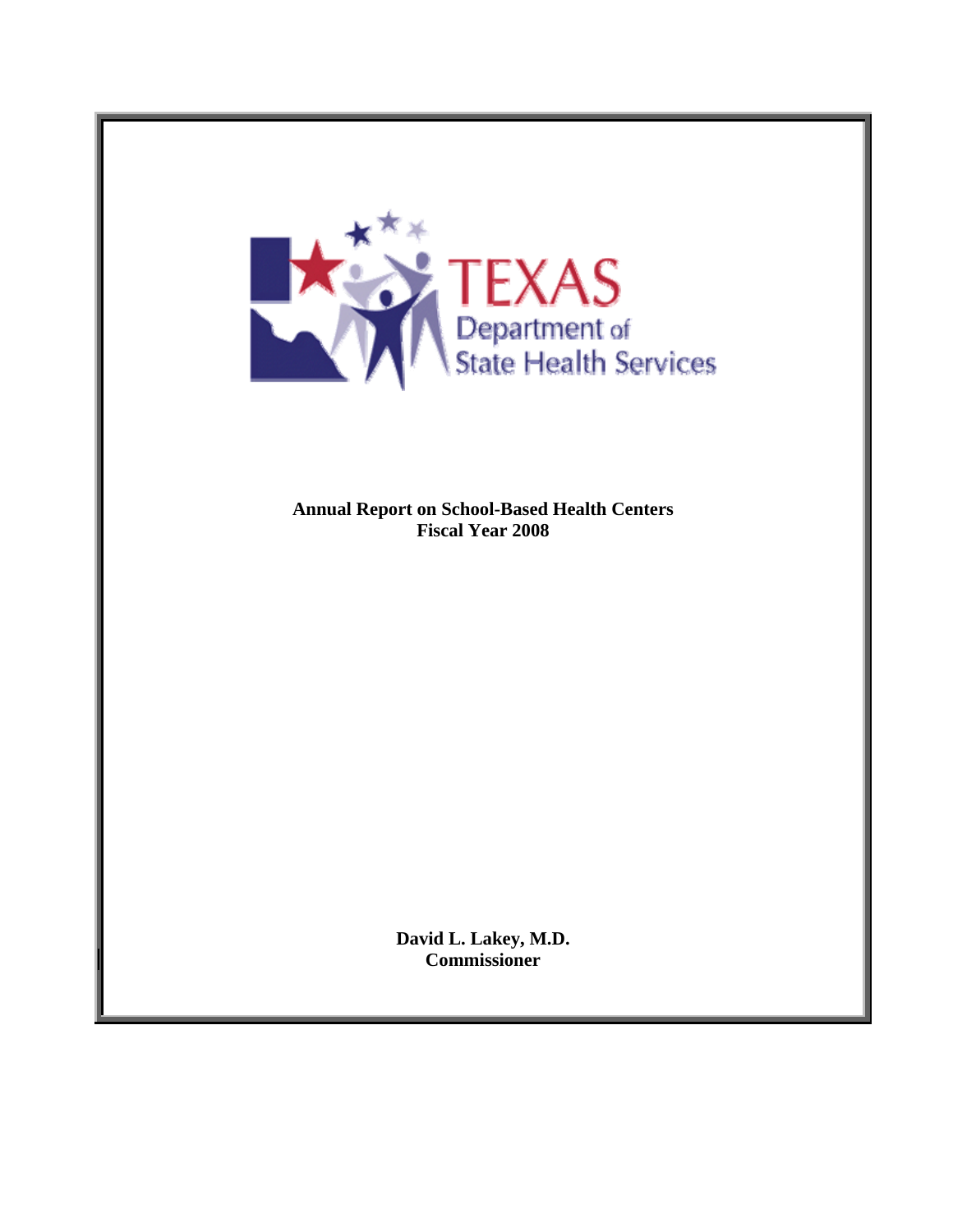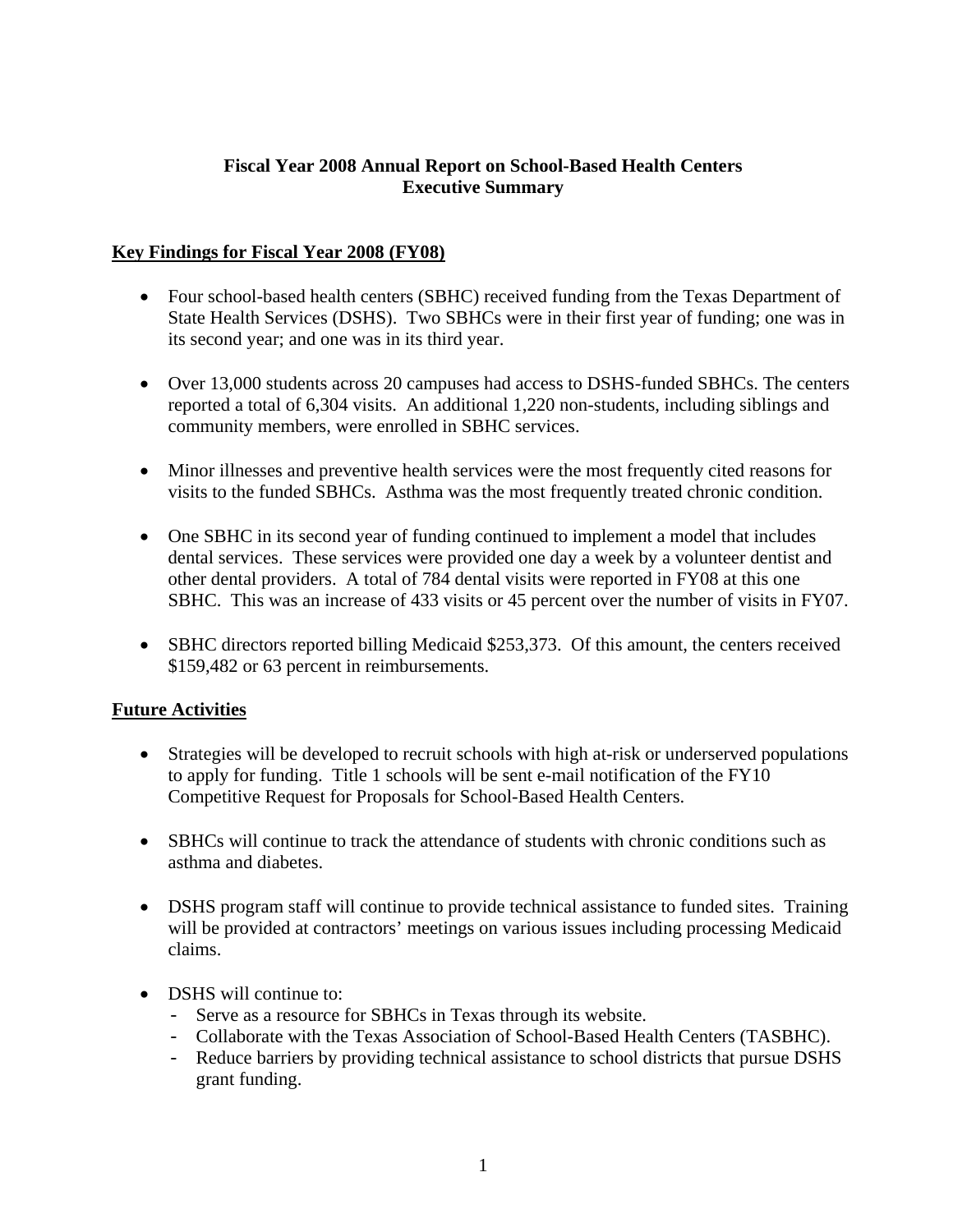### **Fiscal Year 2008 Annual Report on School-Based Health Centers Executive Summary**

### **Key Findings for Fiscal Year 2008 (FY08)**

- Four school-based health centers (SBHC) received funding from the Texas Department of State Health Services (DSHS). Two SBHCs were in their first year of funding; one was in its second year; and one was in its third year.
- Over 13,000 students across 20 campuses had access to DSHS-funded SBHCs. The centers reported a total of 6,304 visits. An additional 1,220 non-students, including siblings and community members, were enrolled in SBHC services.
- Minor illnesses and preventive health services were the most frequently cited reasons for visits to the funded SBHCs. Asthma was the most frequently treated chronic condition.
- One SBHC in its second year of funding continued to implement a model that includes dental services. These services were provided one day a week by a volunteer dentist and other dental providers. A total of 784 dental visits were reported in FY08 at this one SBHC. This was an increase of 433 visits or 45 percent over the number of visits in FY07.
- SBHC directors reported billing Medicaid \$253,373. Of this amount, the centers received \$159,482 or 63 percent in reimbursements.

### **Future Activities**

- Strategies will be developed to recruit schools with high at-risk or underserved populations to apply for funding. Title 1 schools will be sent e-mail notification of the FY10 Competitive Request for Proposals for School-Based Health Centers.
- SBHCs will continue to track the attendance of students with chronic conditions such as asthma and diabetes.
- DSHS program staff will continue to provide technical assistance to funded sites. Training will be provided at contractors' meetings on various issues including processing Medicaid claims.
- DSHS will continue to:
	- Serve as a resource for SBHCs in Texas through its website.
	- Collaborate with the Texas Association of School-Based Health Centers (TASBHC).
	- Reduce barriers by providing technical assistance to school districts that pursue DSHS grant funding.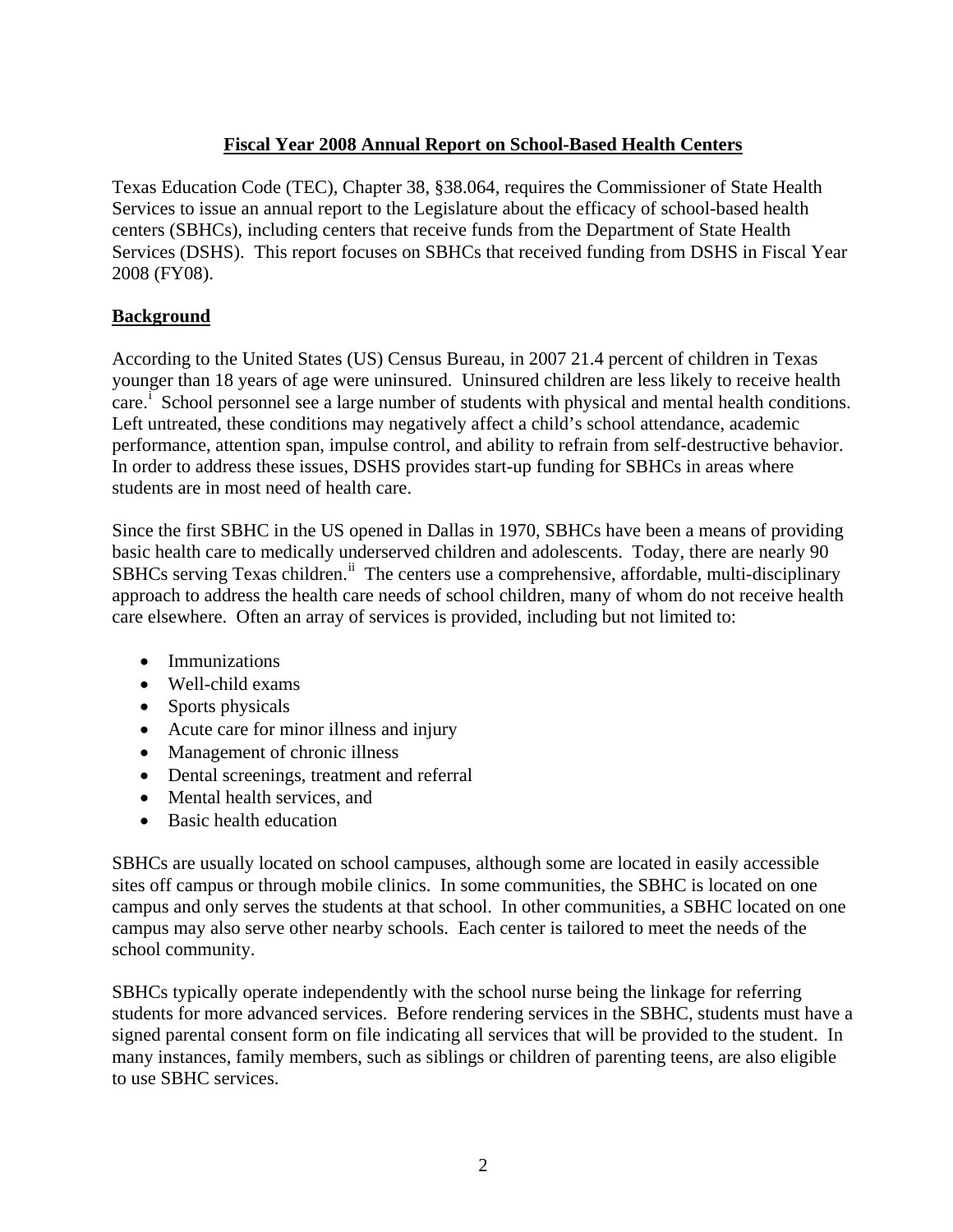# **Fiscal Year 2008 Annual Report on School-Based Health Centers**

Texas Education Code (TEC), Chapter 38, §38.064, requires the Commissioner of State Health Services to issue an annual report to the Legislature about the efficacy of school-based health centers (SBHCs), including centers that receive funds from the Department of State Health Services (DSHS).This report focuses on SBHCs that received funding from DSHS in Fiscal Year 2008 (FY08).

# **Background**

According to the United States (US) Census Bureau, in 2007 21.4 percent of children in Texas younger than 18 years of age were uninsured. Uninsured children are less likely to receive health care.<sup>1</sup> School personnel see a large number of students w[i](#page-15-0)th physical and mental health conditions. Left untreated, these conditions may negatively affect a child's school attendance, academic performance, attention span, impulse control, and ability to refrain from self-destructive behavior. In order to address these issues, DSHS provides start-up funding for SBHCs in areas where students are in most need of health care.

Since the first SBHC in the US opened in Dallas in 1970, SBHCs have been a means of providing basic health care to medically underserved children and adolescents. Today, there are nearly 90 SBHCs serv[i](#page-15-1)ng Texas children.<sup>ii</sup> The centers use a comprehensive, affordable, multi-disciplinary approach to address the health care needs of school children, many of whom do not receive health care elsewhere. Often an array of services is provided, including but not limited to:

- Immunizations
- Well-child exams
- Sports physicals
- Acute care for minor illness and injury
- Management of chronic illness
- Dental screenings, treatment and referral
- Mental health services, and
- Basic health education

SBHCs are usually located on school campuses, although some are located in easily accessible sites off campus or through mobile clinics. In some communities, the SBHC is located on one campus and only serves the students at that school. In other communities, a SBHC located on one campus may also serve other nearby schools. Each center is tailored to meet the needs of the school community.

SBHCs typically operate independently with the school nurse being the linkage for referring students for more advanced services. Before rendering services in the SBHC, students must have a signed parental consent form on file indicating all services that will be provided to the student. In many instances, family members, such as siblings or children of parenting teens, are also eligible to use SBHC services.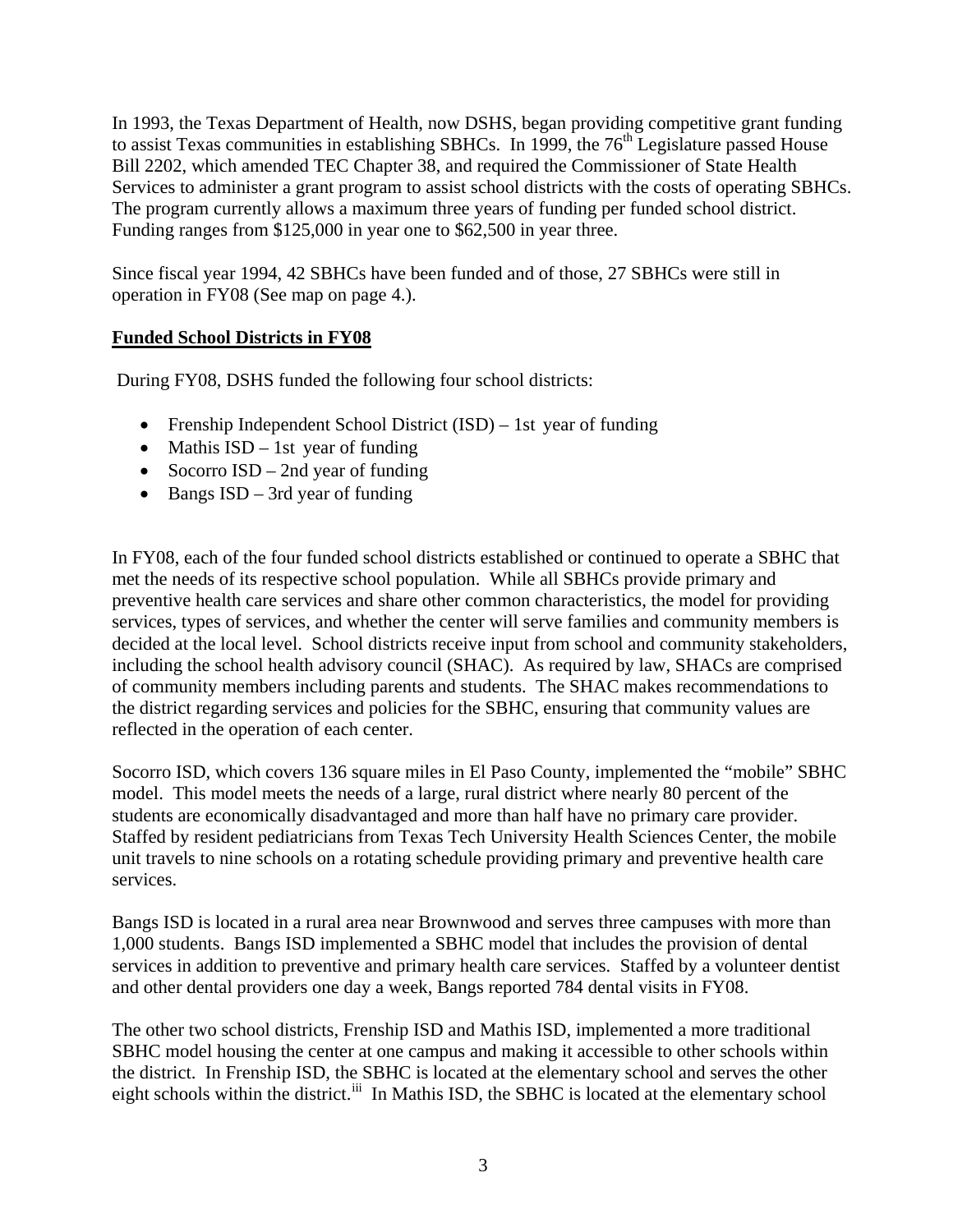In 1993, the Texas Department of Health, now DSHS, began providing competitive grant funding to assist Texas communities in establishing SBHCs. In 1999, the 76<sup>th</sup> Legislature passed House Bill 2202, which amended TEC Chapter 38, and required the Commissioner of State Health Services to administer a grant program to assist school districts with the costs of operating SBHCs. The program currently allows a maximum three years of funding per funded school district. Funding ranges from \$125,000 in year one to \$62,500 in year three.

Since fiscal year 1994, 42 SBHCs have been funded and of those, 27 SBHCs were still in operation in FY08 (See map on page 4.).

### **Funded School Districts in FY08**

During FY08, DSHS funded the following four school districts:

- Frenship Independent School District (ISD) 1st year of funding
- Mathis  $\text{ISD} 1\text{st}$  year of funding
- Socorro ISD 2nd year of funding
- Bangs ISD 3rd year of funding

In FY08, each of the four funded school districts established or continued to operate a SBHC that met the needs of its respective school population. While all SBHCs provide primary and preventive health care services and share other common characteristics, the model for providing services, types of services, and whether the center will serve families and community members is decided at the local level. School districts receive input from school and community stakeholders, including the school health advisory council (SHAC). As required by law, SHACs are comprised of community members including parents and students. The SHAC makes recommendations to the district regarding services and policies for the SBHC, ensuring that community values are reflected in the operation of each center.

Socorro ISD, which covers 136 square miles in El Paso County, implemented the "mobile" SBHC model. This model meets the needs of a large, rural district where nearly 80 percent of the students are economically disadvantaged and more than half have no primary care provider. Staffed by resident pediatricians from Texas Tech University Health Sciences Center, the mobile unit travels to nine schools on a rotating schedule providing primary and preventive health care services.

Bangs ISD is located in a rural area near Brownwood and serves three campuses with more than 1,000 students. Bangs ISD implemented a SBHC model that includes the provision of dental services in addition to preventive and primary health care services. Staffed by a volunteer dentist and other dental providers one day a week, Bangs reported 784 dental visits in FY08.

The other two school districts, Frenship ISD and Mathis ISD, implemented a more traditional SBHC model housing the center at one campus and making it accessible to other schools within the district. In Frenship ISD, the SBHC is located at the elementary school and serves the other e[i](#page-15-1)ght schools within the district.<sup>iii</sup> In Mathis ISD, the SBHC is located at the elementary school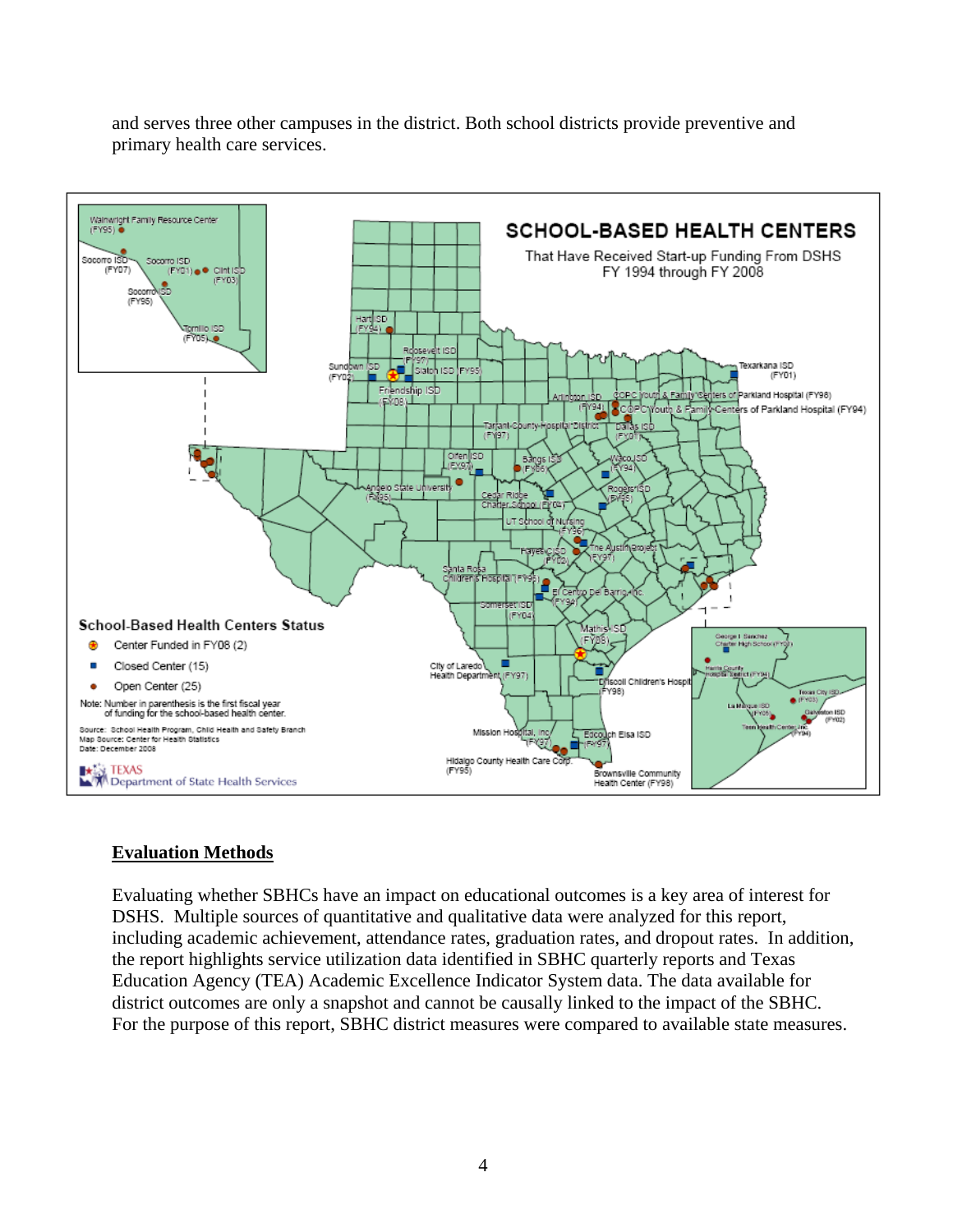and serves three other campuses in the district. Both school districts provide preventive and primary health care services.



### **Evaluation Methods**

Evaluating whether SBHCs have an impact on educational outcomes is a key area of interest for DSHS. Multiple sources of quantitative and qualitative data were analyzed for this report, including academic achievement, attendance rates, graduation rates, and dropout rates. In addition, the report highlights service utilization data identified in SBHC quarterly reports and Texas Education Agency (TEA) Academic Excellence Indicator System data. The data available for district outcomes are only a snapshot and cannot be causally linked to the impact of the SBHC. For the purpose of this report, SBHC district measures were compared to available state measures.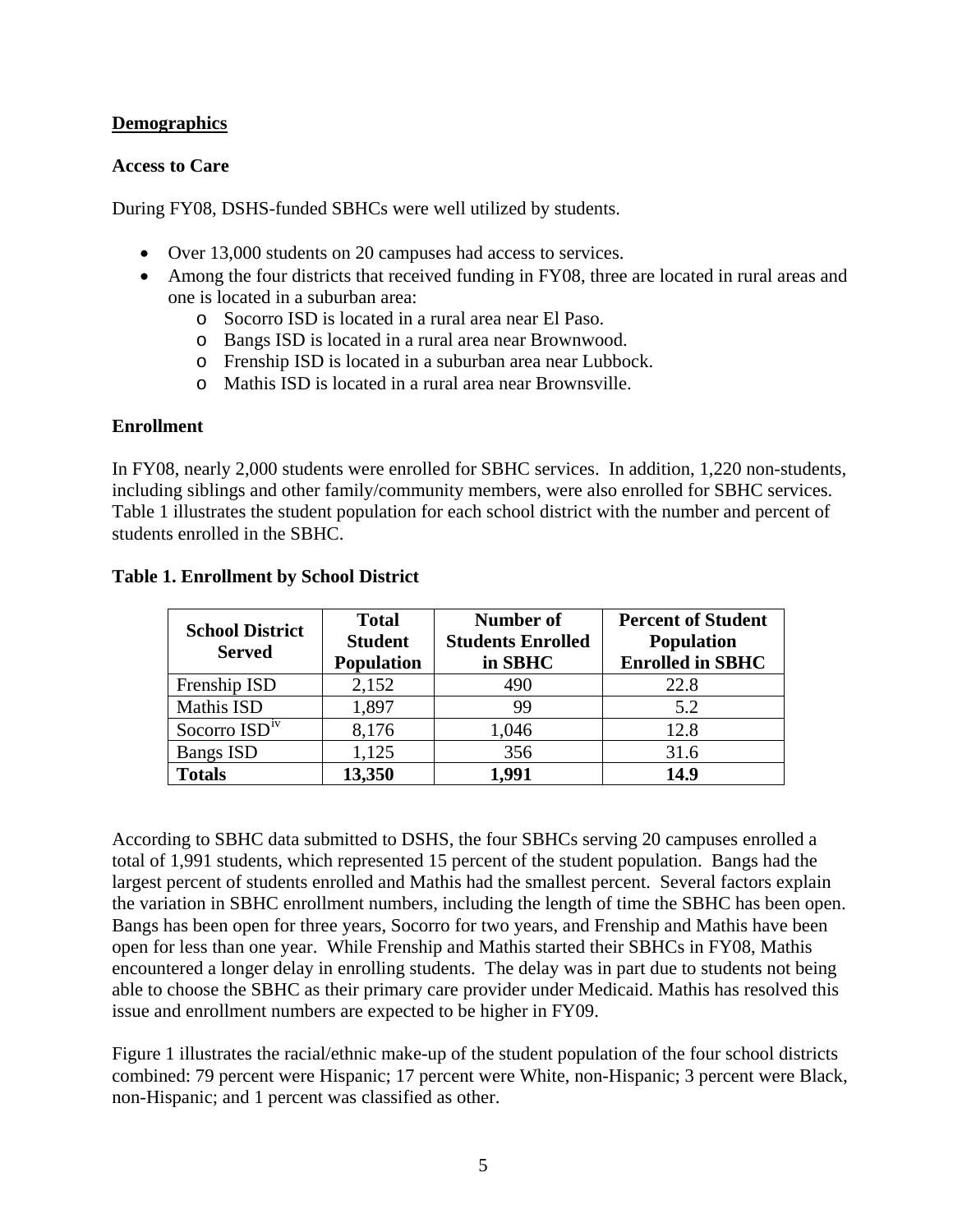### **Demographics**

#### **Access to Care**

During FY08, DSHS-funded SBHCs were well utilized by students.

- Over 13,000 students on 20 campuses had access to services.
- Among the four districts that received funding in FY08, three are located in rural areas and one is located in a suburban area:
	- o Socorro ISD is located in a rural area near El Paso.
	- o Bangs ISD is located in a rural area near Brownwood.
	- o Frenship ISD is located in a suburban area near Lubbock.
	- o Mathis ISD is located in a rural area near Brownsville.

#### **Enrollment**

In FY08, nearly 2,000 students were enrolled for SBHC services.In addition, 1,220 non-students, including siblings and other family/community members, were also enrolled for SBHC services. Table 1 illustrates the student population for each school district with the number and percent of students enrolled in the SBHC.

| <b>School District</b><br><b>Served</b> | <b>Total</b><br><b>Student</b><br><b>Population</b> | <b>Number of</b><br><b>Students Enrolled</b><br>in SBHC | <b>Percent of Student</b><br><b>Population</b><br><b>Enrolled in SBHC</b> |
|-----------------------------------------|-----------------------------------------------------|---------------------------------------------------------|---------------------------------------------------------------------------|
| Frenship ISD                            | 2,152                                               | 490                                                     | 22.8                                                                      |
| Mathis ISD                              | 1,897                                               | 99                                                      | 5.2                                                                       |
| Socorro $ISDiv$                         | 8,176                                               | 1,046                                                   | 12.8                                                                      |
| <b>Bangs ISD</b>                        | 1,125                                               | 356                                                     | 31.6                                                                      |
| <b>Totals</b>                           | 13,350                                              | 1.991                                                   | 14.9                                                                      |

### **Table 1. Enrollment by School District**

According to SBHC data submitted to DSHS, the four SBHCs serving 20 campuses enrolled a total of 1,991 students, which represented 15 percent of the student population. Bangs had the largest percent of students enrolled and Mathis had the smallest percent. Several factors explain the variation in SBHC enrollment numbers, including the length of time the SBHC has been open. Bangs has been open for three years, Socorro for two years, and Frenship and Mathis have been open for less than one year. While Frenship and Mathis started their SBHCs in FY08, Mathis encountered a longer delay in enrolling students. The delay was in part due to students not being able to choose the SBHC as their primary care provider under Medicaid. Mathis has resolved this issue and enrollment numbers are expected to be higher in FY09.

Figure 1 illustrates the racial/ethnic make-up of the student population of the four school districts combined: 79 percent were Hispanic; 17 percent were White, non-Hispanic; 3 percent were Black, non-Hispanic; and 1 percent was classified as other.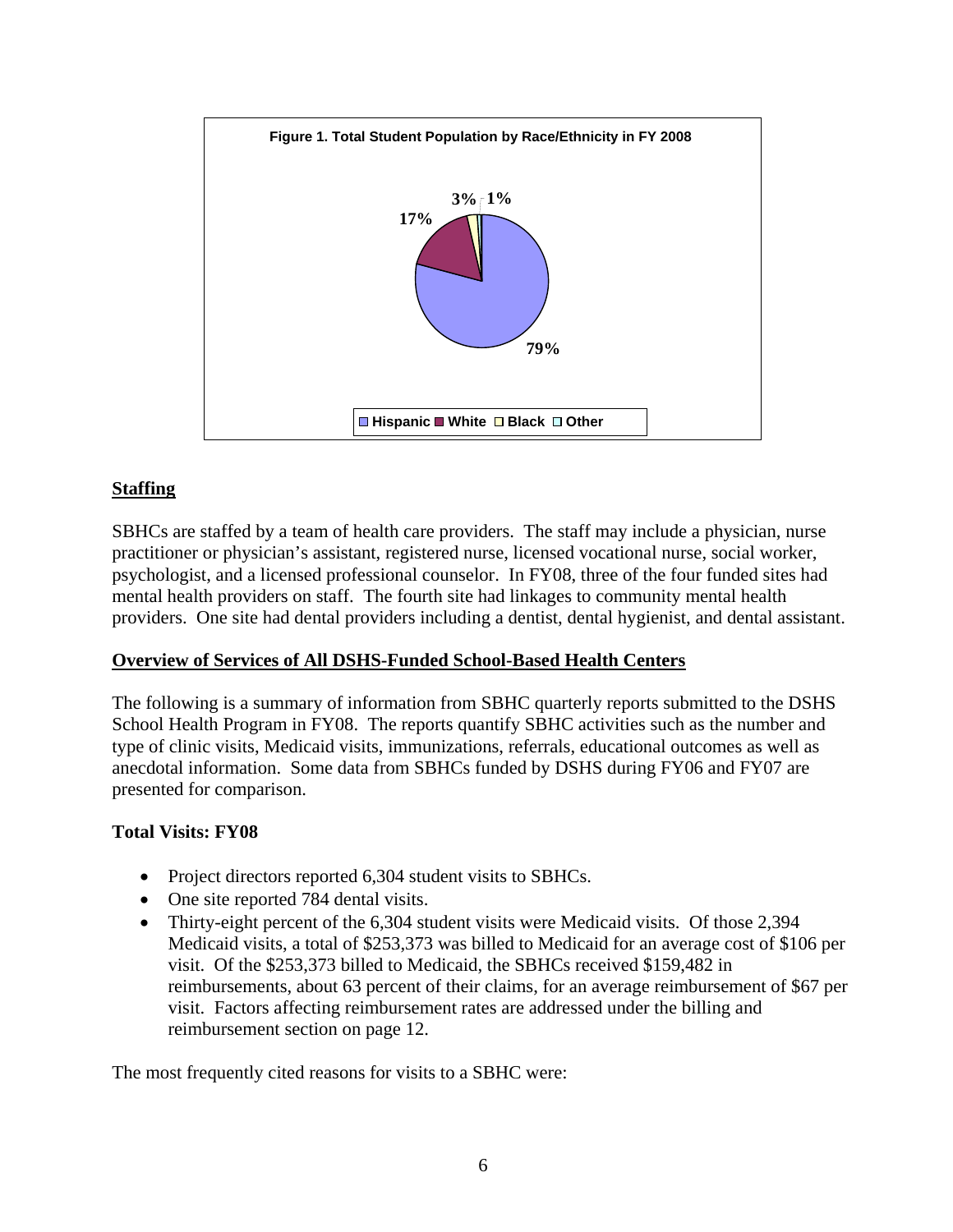

### **Staffing**

SBHCs are staffed by a team of health care providers. The staff may include a physician, nurse practitioner or physician's assistant, registered nurse, licensed vocational nurse, social worker, psychologist, and a licensed professional counselor. In FY08, three of the four funded sites had mental health providers on staff. The fourth site had linkages to community mental health providers. One site had dental providers including a dentist, dental hygienist, and dental assistant.

### **Overview of Services of All DSHS-Funded School-Based Health Centers**

The following is a summary of information from SBHC quarterly reports submitted to the DSHS School Health Program in FY08. The reports quantify SBHC activities such as the number and type of clinic visits, Medicaid visits, immunizations, referrals, educational outcomes as well as anecdotal information. Some data from SBHCs funded by DSHS during FY06 and FY07 are presented for comparison.

### **Total Visits: FY08**

- Project directors reported 6,304 student visits to SBHCs.
- One site reported 784 dental visits.
- Thirty-eight percent of the 6,304 student visits were Medicaid visits. Of those 2,394 Medicaid visits, a total of \$253,373 was billed to Medicaid for an average cost of \$106 per visit. Of the \$253,373 billed to Medicaid, the SBHCs received \$159,482 in reimbursements, about 63 percent of their claims, for an average reimbursement of \$67 per visit. Factors affecting reimbursement rates are addressed under the billing and reimbursement section on page 12.

The most frequently cited reasons for visits to a SBHC were: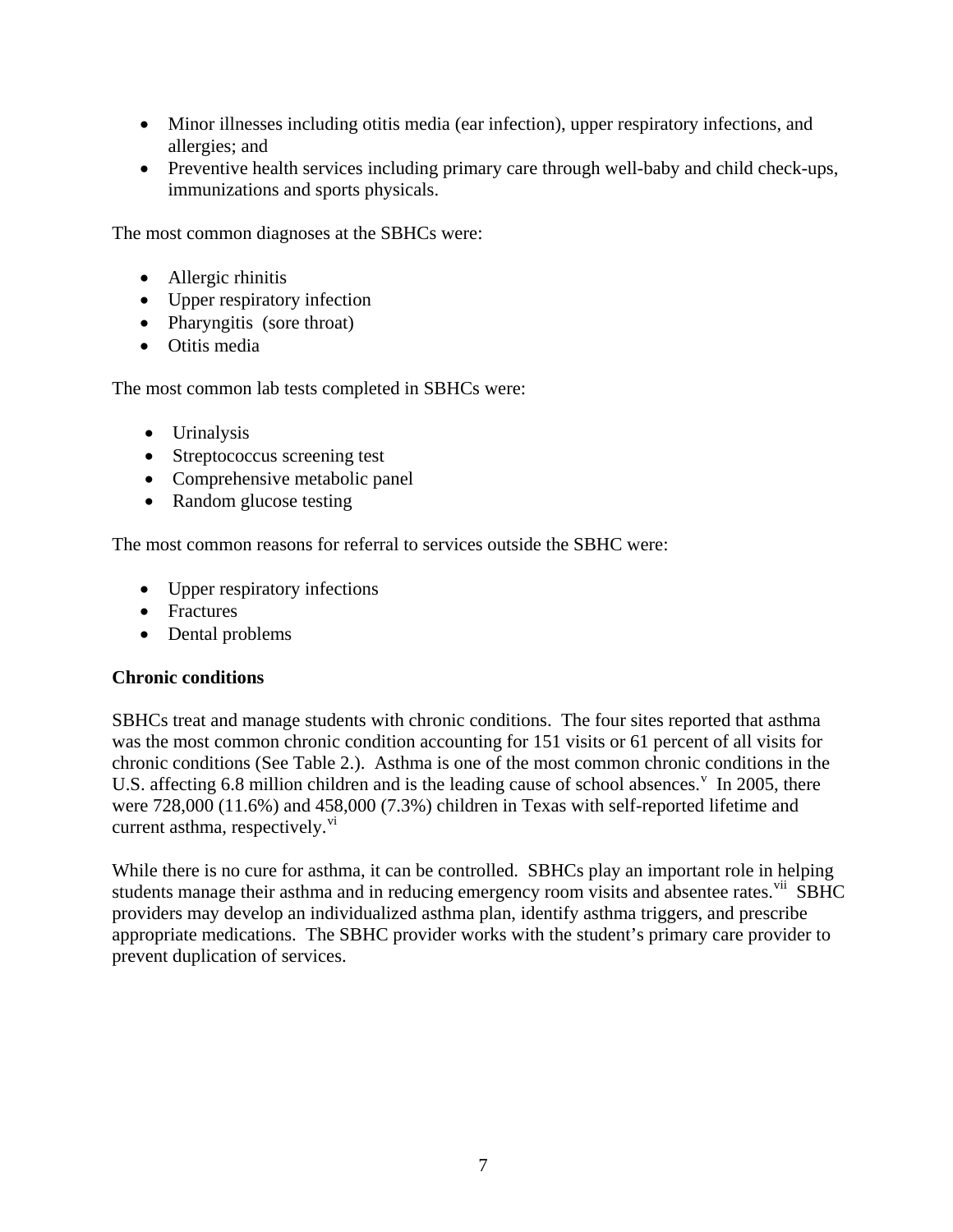- Minor illnesses including otitis media (ear infection), upper respiratory infections, and allergies; and
- Preventive health services including primary care through well-baby and child check-ups, immunizations and sports physicals.

The most common diagnoses at the SBHCs were:

- Allergic rhinitis
- Upper respiratory infection
- Pharyngitis (sore throat)
- Otitis media

The most common lab tests completed in SBHCs were:

- Urinalysis
- Streptococcus screening test
- Comprehensive metabolic panel
- Random glucose testing

The most common reasons for referral to services outside the SBHC were:

- Upper respiratory infections
- Fractures
- Dental problems

### **Chronic conditions**

SBHCs treat and manage students with chronic conditions. The four sites reported that asthma was the most common chronic condition accounting for 151 visits or 61 percent of all visits for chronic conditions (See Table 2.). Asthma is one of the most common chronic conditions in the U.S. affecting 6.8 million children and is the leading cause of school absences.<sup>V</sup> In 2005, there were 728,000 (11.6%) and 458,000 (7.3%) children in Texas with self-reported lifetime and current asthma, respecti[v](#page-15-1)ely. $\overline{v}$ <sup>i</sup>

While there is no cure for asthma, it can be controlled. SBHCs play an important role in helping students manage their asthma and in reducing emergency room [v](#page-15-1)isits and absentee rates.<sup>vii</sup> SBHC providers may develop an individualized asthma plan, identify asthma triggers, and prescribe appropriate medications. The SBHC provider works with the student's primary care provider to prevent duplication of services.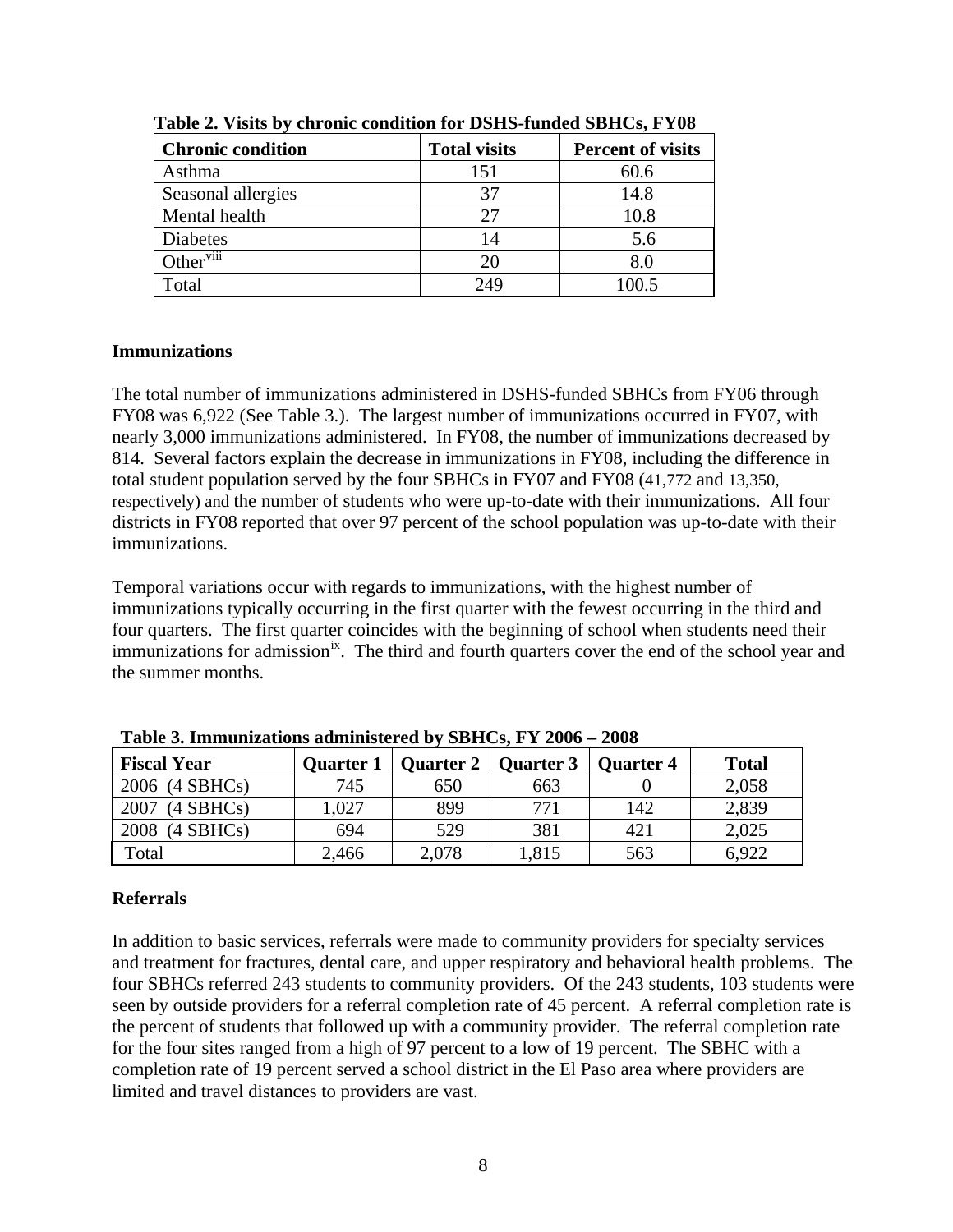| <b>Chronic condition</b> | <b>Total visits</b> | <b>Percent of visits</b> |  |
|--------------------------|---------------------|--------------------------|--|
| Asthma                   | 151                 | 60.6                     |  |
| Seasonal allergies       | 37                  | 14.8                     |  |
| Mental health            | 27                  | 10.8                     |  |
| <b>Diabetes</b>          | 14                  | 5.6                      |  |
| Other <sup>viii</sup>    | 20                  | 8.0                      |  |
| otal <sup>-</sup>        | 249                 |                          |  |

**Table 2. Visits by chronic condition for DSHS-funded SBHCs, FY08** 

### **Immunizations**

The total number of immunizations administered in DSHS-funded SBHCs from FY06 through FY08 was 6,922 (See Table 3.). The largest number of immunizations occurred in FY07, with nearly 3,000 immunizations administered. In FY08, the number of immunizations decreased by 814. Several factors explain the decrease in immunizations in FY08, including the difference in total student population served by the four SBHCs in FY07 and FY08 (41,772 and 13,350, respectively) and the number of students who were up-to-date with their immunizations. All four districts in FY08 reported that over 97 percent of the school population was up-to-date with their immunizations.

Temporal variations occur with regards to immunizations, with the highest number of immunizations typically occurring in the first quarter with the fewest occurring in the third and four quarters. The first quarter coincides with the beginning of school when students need their immunizations for admission<sup>[ix](#page-15-1)</sup>. The third and fourth quarters cover the end of the school year and the summer months.

| <b>Fiscal Year</b>  | <b>Ouarter 1</b> | <b>Quarter 2</b> | Quarter 3 | <b>Quarter 4</b> | <b>Total</b> |
|---------------------|------------------|------------------|-----------|------------------|--------------|
| 2006 (4 SBHCs)      | 745              | 650              | 663       |                  | 2,058        |
| 2007<br>$(4$ SBHCs) | ,027             | 899              | 771       | 142              | 2,839        |
| 2008<br>$(4$ SBHCs) | 694              | 529              | 381       | 421              | 2,025        |
| Total               | 2,466            | 2,078            | .815      | 563              | 6.922        |

**Table 3. Immunizations administered by SBHCs, FY 2006 – 2008** 

# **Referrals**

In addition to basic services, referrals were made to community providers for specialty services and treatment for fractures, dental care, and upper respiratory and behavioral health problems. The four SBHCs referred 243 students to community providers. Of the 243 students, 103 students were seen by outside providers for a referral completion rate of 45 percent. A referral completion rate is the percent of students that followed up with a community provider. The referral completion rate for the four sites ranged from a high of 97 percent to a low of 19 percent. The SBHC with a completion rate of 19 percent served a school district in the El Paso area where providers are limited and travel distances to providers are vast.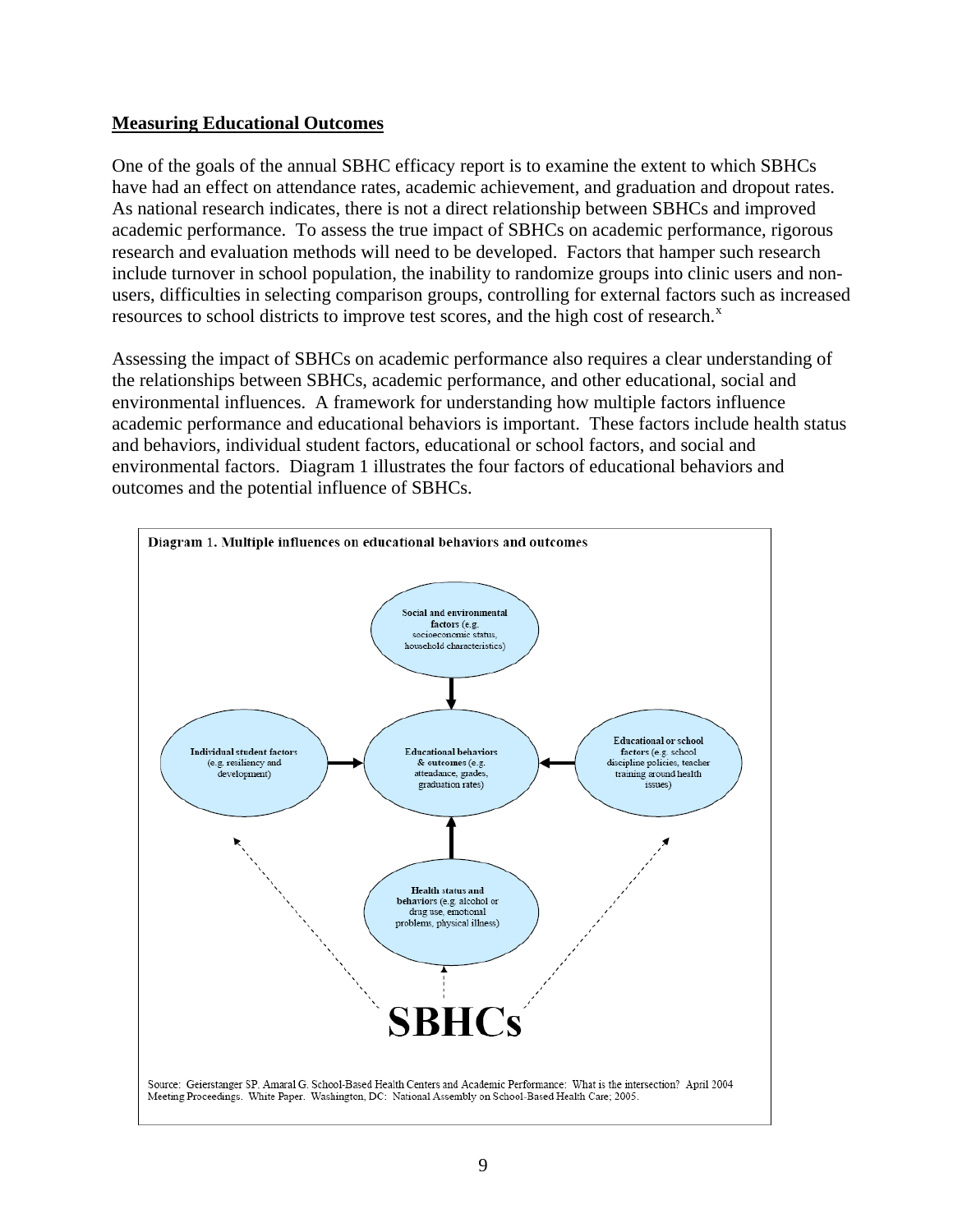### **Measuring Educational Outcomes**

One of the goals of the annual SBHC efficacy report is to examine the extent to which SBHCs have had an effect on attendance rates, academic achievement, and graduation and dropout rates. As national research indicates, there is not a direct relationship between SBHCs and improved academic performance. To assess the true impact of SBHCs on academic performance, rigorous research and evaluation methods will need to be developed. Factors that hamper such research include turnover in school population, the inability to randomize groups into clinic users and nonusers, difficulties in selecting comparison groups, controlling for external factors such as increased resources to school districts to improve test scores, and the high cost of research. $^x$  $^x$ 

Assessing the impact of SBHCs on academic performance also requires a clear understanding of the relationships between SBHCs, academic performance, and other educational, social and environmental influences. A framework for understanding how multiple factors influence academic performance and educational behaviors is important. These factors include health status and behaviors, individual student factors, educational or school factors, and social and environmental factors. Diagram 1 illustrates the four factors of educational behaviors and outcomes and the potential influence of SBHCs.

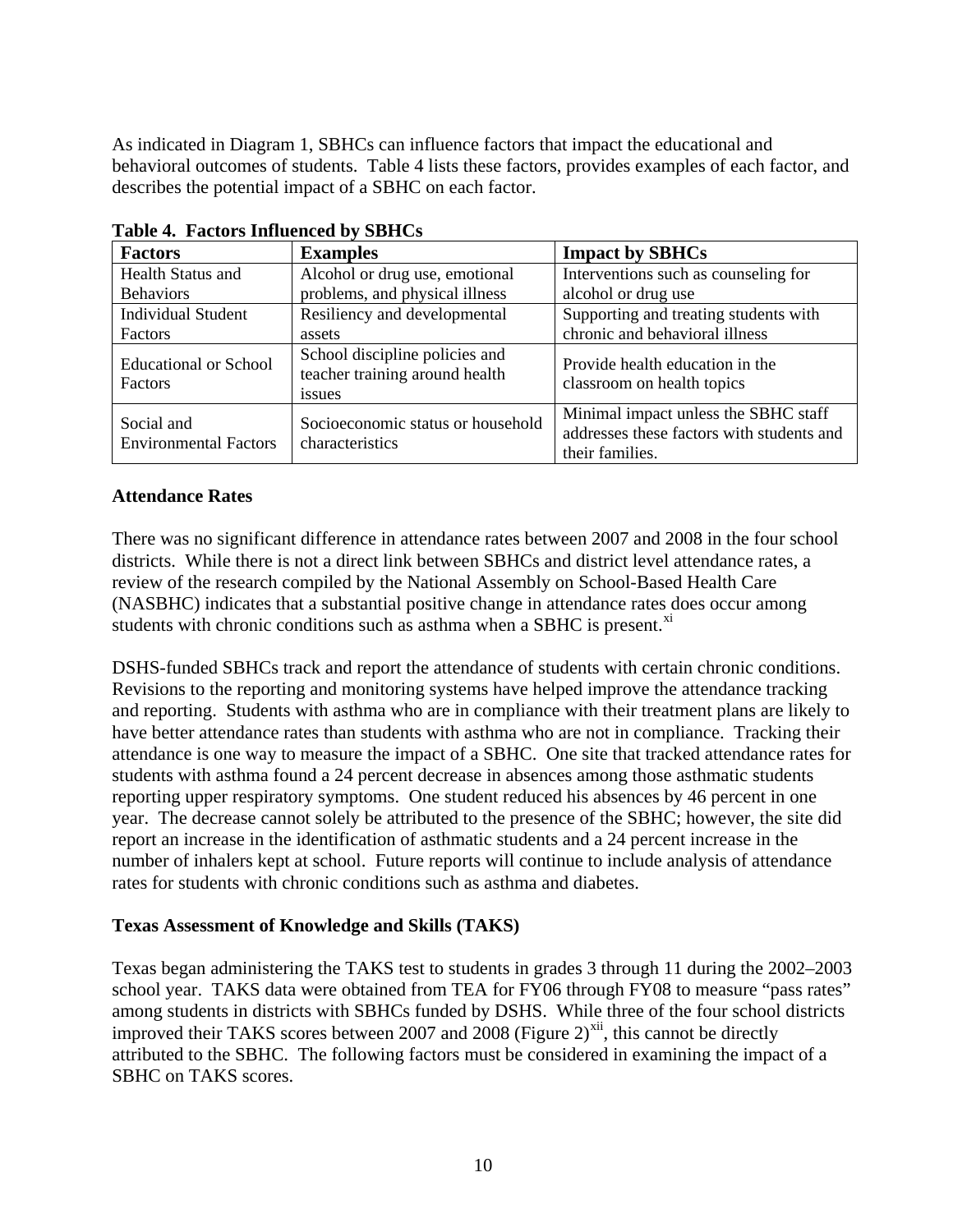As indicated in Diagram 1, SBHCs can influence factors that impact the educational and behavioral outcomes of students. Table 4 lists these factors, provides examples of each factor, and describes the potential impact of a SBHC on each factor.

| <b>Factors</b>                                 | <b>Examples</b>                                                            | <b>Impact by SBHCs</b>                                                                               |
|------------------------------------------------|----------------------------------------------------------------------------|------------------------------------------------------------------------------------------------------|
| <b>Health Status and</b>                       | Alcohol or drug use, emotional                                             | Interventions such as counseling for                                                                 |
| <b>Behaviors</b>                               | problems, and physical illness                                             | alcohol or drug use                                                                                  |
| <b>Individual Student</b>                      | Resiliency and developmental                                               | Supporting and treating students with                                                                |
| Factors                                        | assets                                                                     | chronic and behavioral illness                                                                       |
| <b>Educational or School</b><br><b>Factors</b> | School discipline policies and<br>teacher training around health<br>issues | Provide health education in the<br>classroom on health topics                                        |
| Social and<br><b>Environmental Factors</b>     | Socioeconomic status or household<br>characteristics                       | Minimal impact unless the SBHC staff<br>addresses these factors with students and<br>their families. |

**Table 4. Factors Influenced by SBHCs** 

### **Attendance Rates**

There was no significant difference in attendance rates between 2007 and 2008 in the four school districts. While there is not a direct link between SBHCs and district level attendance rates, a review of the research compiled by the National Assembly on School-Based Health Care (NASBHC) indicates that a substantial positive change in attendance rates does occur among students with chronic conditions such as asthma when a SBHC is present.<sup>[x](#page-15-1)i</sup>

DSHS-funded SBHCs track and report the attendance of students with certain chronic conditions. Revisions to the reporting and monitoring systems have helped improve the attendance tracking and reporting. Students with asthma who are in compliance with their treatment plans are likely to have better attendance rates than students with asthma who are not in compliance. Tracking their attendance is one way to measure the impact of a SBHC. One site that tracked attendance rates for students with asthma found a 24 percent decrease in absences among those asthmatic students reporting upper respiratory symptoms. One student reduced his absences by 46 percent in one year. The decrease cannot solely be attributed to the presence of the SBHC; however, the site did report an increase in the identification of asthmatic students and a 24 percent increase in the number of inhalers kept at school. Future reports will continue to include analysis of attendance rates for students with chronic conditions such as asthma and diabetes.

#### **Texas Assessment of Knowledge and Skills (TAKS)**

Texas began administering the TAKS test to students in grades 3 through 11 during the 2002–2003 school year. TAKS data were obtained from TEA for FY06 through FY08 to measure "pass rates" among students in districts with SBHCs funded by DSHS. While three of the four school districts improved their TAKS scores between 2007 and 2008 (Figure 2)<sup>[x](#page-15-1)ii</sup>, this cannot be directly attributed to the SBHC. The following factors must be considered in examining the impact of a SBHC on TAKS scores.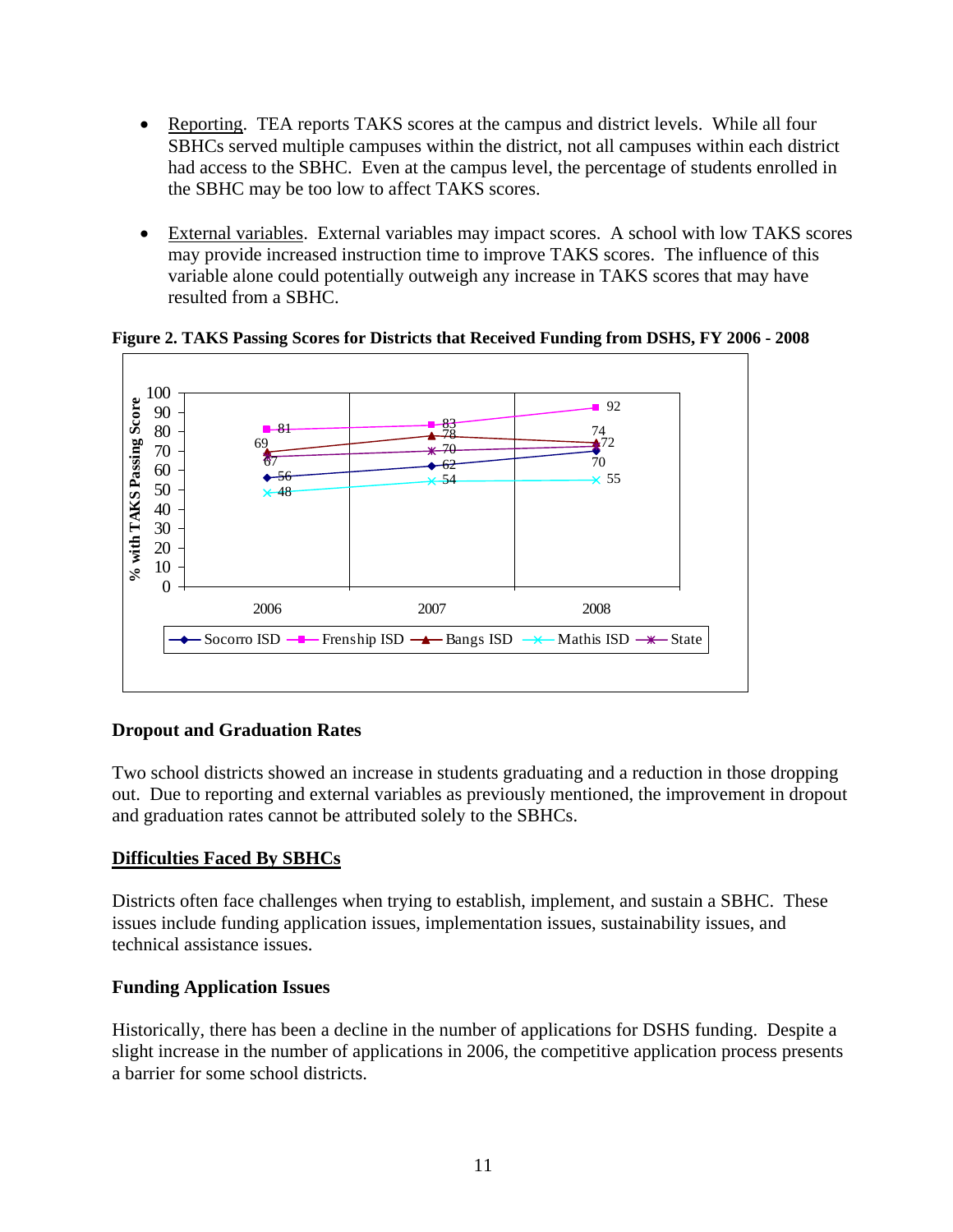- Reporting. TEA reports TAKS scores at the campus and district levels. While all four SBHCs served multiple campuses within the district, not all campuses within each district had access to the SBHC. Even at the campus level, the percentage of students enrolled in the SBHC may be too low to affect TAKS scores.
- External variables. External variables may impact scores. A school with low TAKS scores may provide increased instruction time to improve TAKS scores. The influence of this variable alone could potentially outweigh any increase in TAKS scores that may have resulted from a SBHC.



**Figure 2. TAKS Passing Scores for Districts that Received Funding from DSHS, FY 2006 - 2008** 

### **Dropout and Graduation Rates**

Two school districts showed an increase in students graduating and a reduction in those dropping out. Due to reporting and external variables as previously mentioned, the improvement in dropout and graduation rates cannot be attributed solely to the SBHCs.

### **Difficulties Faced By SBHCs**

Districts often face challenges when trying to establish, implement, and sustain a SBHC. These issues include funding application issues, implementation issues, sustainability issues, and technical assistance issues.

#### **Funding Application Issues**

Historically, there has been a decline in the number of applications for DSHS funding. Despite a slight increase in the number of applications in 2006, the competitive application process presents a barrier for some school districts.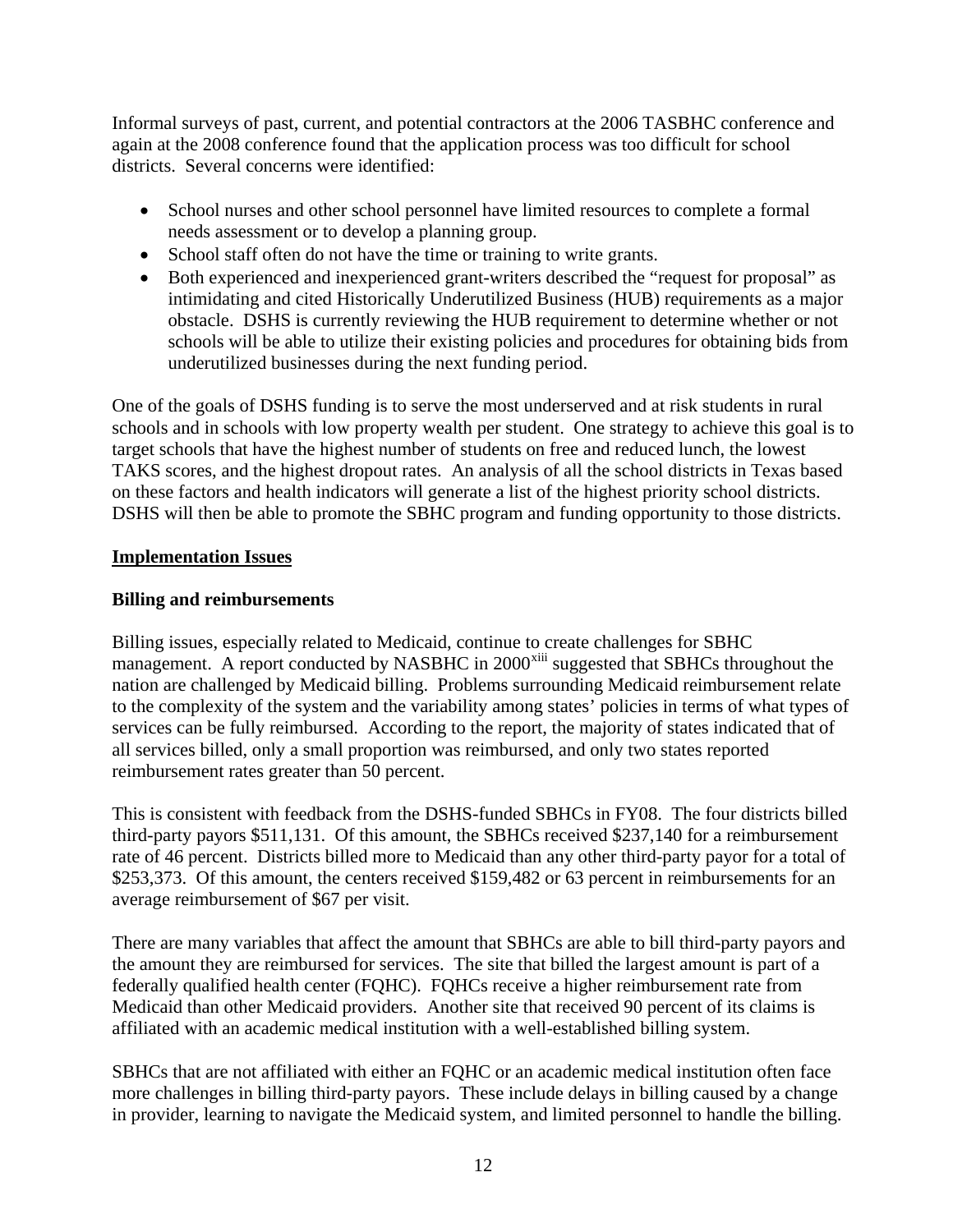Informal surveys of past, current, and potential contractors at the 2006 TASBHC conference and again at the 2008 conference found that the application process was too difficult for school districts. Several concerns were identified:

- School nurses and other school personnel have limited resources to complete a formal needs assessment or to develop a planning group.
- School staff often do not have the time or training to write grants.
- Both experienced and inexperienced grant-writers described the "request for proposal" as intimidating and cited Historically Underutilized Business (HUB) requirements as a major obstacle. DSHS is currently reviewing the HUB requirement to determine whether or not schools will be able to utilize their existing policies and procedures for obtaining bids from underutilized businesses during the next funding period.

One of the goals of DSHS funding is to serve the most underserved and at risk students in rural schools and in schools with low property wealth per student. One strategy to achieve this goal is to target schools that have the highest number of students on free and reduced lunch, the lowest TAKS scores, and the highest dropout rates. An analysis of all the school districts in Texas based on these factors and health indicators will generate a list of the highest priority school districts. DSHS will then be able to promote the SBHC program and funding opportunity to those districts.

### **Implementation Issues**

### **Billing and reimbursements**

Billing issues, especially related to Medicaid, continue to create challenges for SBHC management. A report conducted by NASBHC in 2000<sup>[x](#page-15-1)iii</sup> suggested that SBHCs throughout the nation are challenged by Medicaid billing. Problems surrounding Medicaid reimbursement relate to the complexity of the system and the variability among states' policies in terms of what types of services can be fully reimbursed. According to the report, the majority of states indicated that of all services billed, only a small proportion was reimbursed, and only two states reported reimbursement rates greater than 50 percent.

This is consistent with feedback from the DSHS-funded SBHCs in FY08. The four districts billed third-party payors \$511,131. Of this amount, the SBHCs received \$237,140 for a reimbursement rate of 46 percent. Districts billed more to Medicaid than any other third-party payor for a total of \$253,373. Of this amount, the centers received \$159,482 or 63 percent in reimbursements for an average reimbursement of \$67 per visit.

There are many variables that affect the amount that SBHCs are able to bill third-party payors and the amount they are reimbursed for services. The site that billed the largest amount is part of a federally qualified health center (FQHC). FQHCs receive a higher reimbursement rate from Medicaid than other Medicaid providers. Another site that received 90 percent of its claims is affiliated with an academic medical institution with a well-established billing system.

SBHCs that are not affiliated with either an FQHC or an academic medical institution often face more challenges in billing third-party payors. These include delays in billing caused by a change in provider, learning to navigate the Medicaid system, and limited personnel to handle the billing.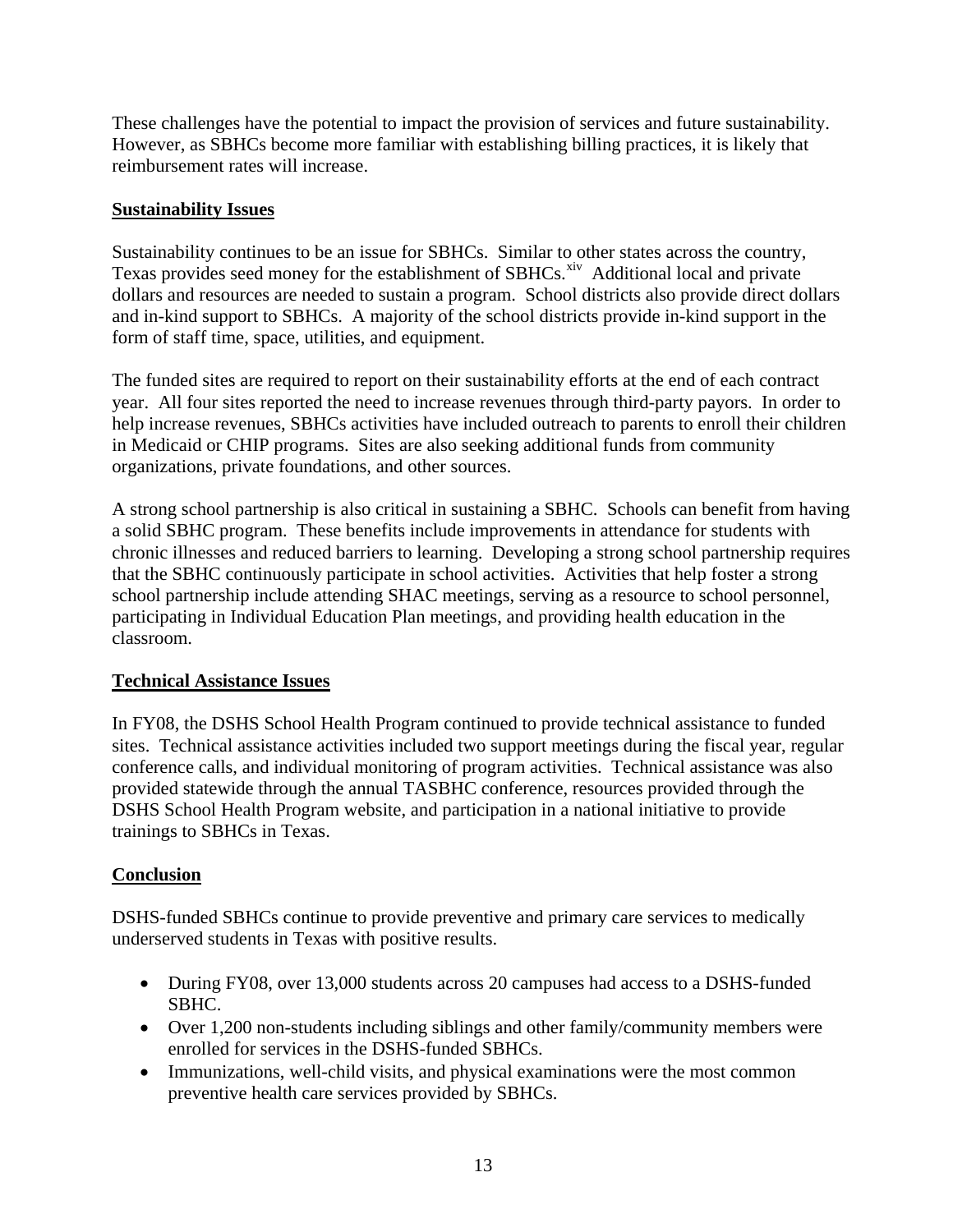These challenges have the potential to impact the provision of services and future sustainability. However, as SBHCs become more familiar with establishing billing practices, it is likely that reimbursement rates will increase.

### **Sustainability Issues**

Sustainability continues to be an issue for SBHCs. Similar to other states across the country, Te[x](#page-15-1)as provides seed money for the establishment of SBHCs.<sup>xiv</sup> Additional local and private dollars and resources are needed to sustain a program. School districts also provide direct dollars and in-kind support to SBHCs. A majority of the school districts provide in-kind support in the form of staff time, space, utilities, and equipment.

The funded sites are required to report on their sustainability efforts at the end of each contract year. All four sites reported the need to increase revenues through third-party payors. In order to help increase revenues, SBHCs activities have included outreach to parents to enroll their children in Medicaid or CHIP programs. Sites are also seeking additional funds from community organizations, private foundations, and other sources.

A strong school partnership is also critical in sustaining a SBHC. Schools can benefit from having a solid SBHC program. These benefits include improvements in attendance for students with chronic illnesses and reduced barriers to learning. Developing a strong school partnership requires that the SBHC continuously participate in school activities. Activities that help foster a strong school partnership include attending SHAC meetings, serving as a resource to school personnel, participating in Individual Education Plan meetings, and providing health education in the classroom.

# **Technical Assistance Issues**

In FY08, the DSHS School Health Program continued to provide technical assistance to funded sites. Technical assistance activities included two support meetings during the fiscal year, regular conference calls, and individual monitoring of program activities. Technical assistance was also provided statewide through the annual TASBHC conference, resources provided through the DSHS School Health Program website, and participation in a national initiative to provide trainings to SBHCs in Texas.

# **Conclusion**

DSHS-funded SBHCs continue to provide preventive and primary care services to medically underserved students in Texas with positive results.

- During FY08, over 13,000 students across 20 campuses had access to a DSHS-funded SBHC.
- Over 1,200 non-students including siblings and other family/community members were enrolled for services in the DSHS-funded SBHCs.
- Immunizations, well-child visits, and physical examinations were the most common preventive health care services provided by SBHCs.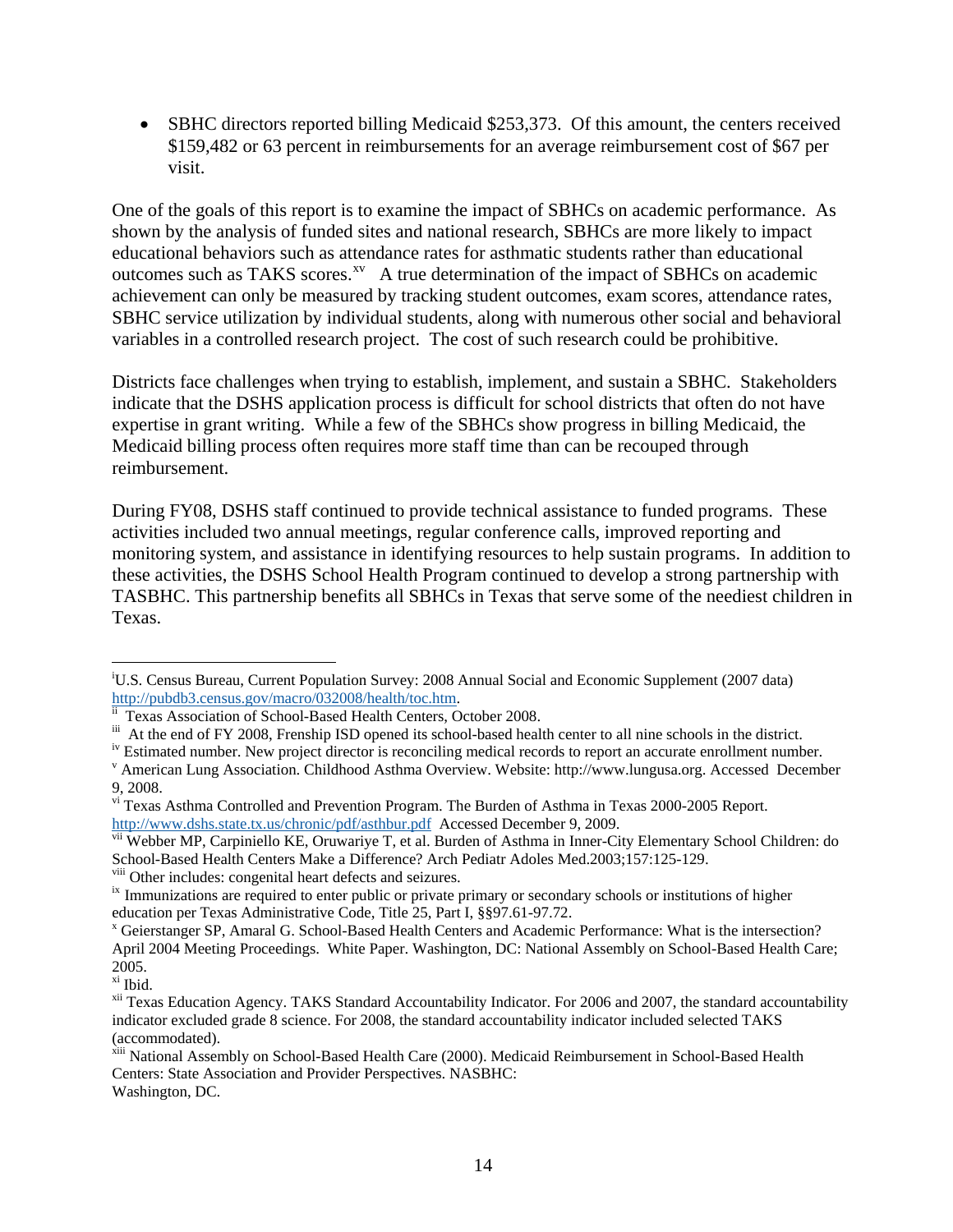• SBHC directors reported billing Medicaid \$253,373. Of this amount, the centers received \$159,482 or 63 percent in reimbursements for an average reimbursement cost of \$67 per visit.

One of the goals of this report is to examine the impact of SBHCs on academic performance. As shown by the analysis of funded sites and national research, SBHCs are more likely to impact educational behaviors such as attendance rates for asthmatic students rather than educational outcomes such as TAKS scores.<sup>[xv](#page-15-1)</sup> A true determination of the impact of SBHCs on academic achievement can only be measured by tracking student outcomes, exam scores, attendance rates, SBHC service utilization by individual students, along with numerous other social and behavioral variables in a controlled research project. The cost of such research could be prohibitive.

Districts face challenges when trying to establish, implement, and sustain a SBHC. Stakeholders indicate that the DSHS application process is difficult for school districts that often do not have expertise in grant writing. While a few of the SBHCs show progress in billing Medicaid, the Medicaid billing process often requires more staff time than can be recouped through reimbursement.

During FY08, DSHS staff continued to provide technical assistance to funded programs. These activities included two annual meetings, regular conference calls, improved reporting and monitoring system, and assistance in identifying resources to help sustain programs. In addition to these activities, the DSHS School Health Program continued to develop a strong partnership with TASBHC. This partnership benefits all SBHCs in Texas that serve some of the neediest children in Texas.

 $\overline{a}$ i U.S. Census Bureau, Current Population Survey: 2008 Annual Social and Economic Supplement (2007 data) http://pubdb3.census.gov/macro/032008/health/toc.htm. ii Texas Association of School-Based Health Centers, October 2008.

iii At the end of FY 2008, Frenship ISD opened its school-based health center to all nine schools in the district.

iv Estimated number. New project director is reconciling medical records to report an accurate enrollment number.

American Lung Association. Childhood Asthma Overview. Website: http://www.lungusa.org. Accessed December 9, 2008.

vi Texas Asthma Controlled and Prevention Program. The Burden of Asthma in Texas 2000-2005 Report. http://www.dshs.state.tx.us/chronic/pdf/asthbur.pdf Accessed December 9, 2009.

vii Webber MP, Carpiniello KE, Oruwariye T, et al. Burden of Asthma in Inner-City Elementary School Children: do School-Based Health Centers Make a Difference? Arch Pediatr Adoles Med.2003;157:125-129.

<sup>&</sup>lt;sup>viii</sup> Other includes: congenital heart defects and seizures.<br><sup>ix</sup> Immunizations are required to enter public or private primary or secondary schools or institutions of higher education per Texas Administrative Code, Title 25, Part I, §§97.61-97.72.

<sup>&</sup>lt;sup>x</sup> Geierstanger SP, Amaral G. School-Based Health Centers and Academic Performance: What is the intersection? April 2004 Meeting Proceedings. White Paper. Washington, DC: National Assembly on School-Based Health Care; 2005.

xi Ibid.

<sup>&</sup>lt;sup>xii</sup> Texas Education Agency. TAKS Standard Accountability Indicator. For 2006 and 2007, the standard accountability indicator excluded grade 8 science. For 2008, the standard accountability indicator included selected TAKS (accommodated).

xiii National Assembly on School-Based Health Care (2000). Medicaid Reimbursement in School-Based Health Centers: State Association and Provider Perspectives. NASBHC: Washington, DC.